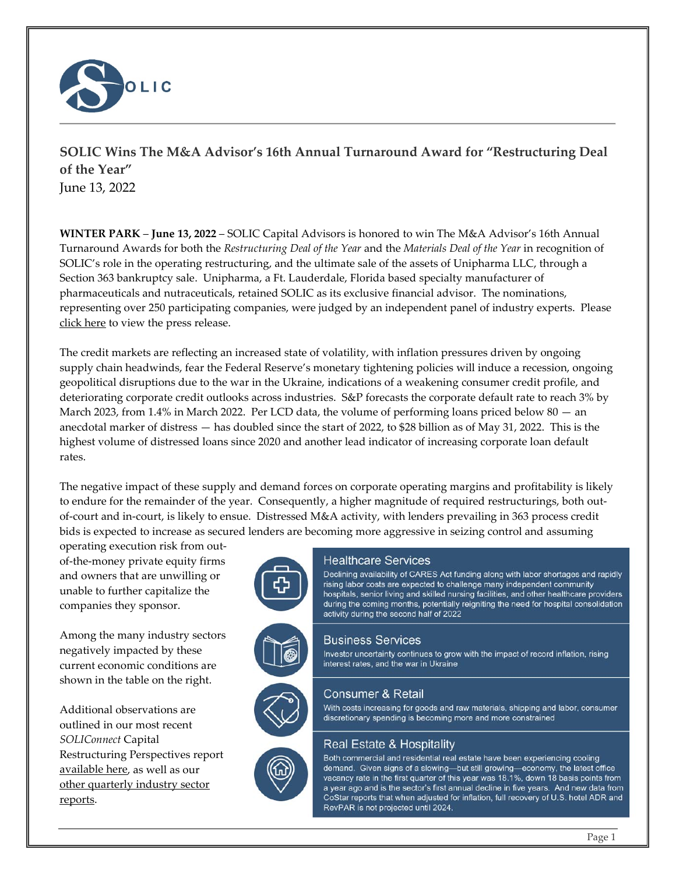

# **SOLIC Wins The M&A Advisor's 16th Annual Turnaround Award for "Restructuring Deal of the Year"** June 13, 2022

**WINTER PARK** – **June 13, 2022** – SOLIC Capital Advisors is honored to win The M&A Advisor's 16th Annual Turnaround Awards for both the *Restructuring Deal of the Year* and the *Materials Deal of the Year* in recognition of SOLIC's role in the operating restructuring, and the ultimate sale of the assets of Unipharma LLC, through a Section 363 bankruptcy sale. Unipharma, a Ft. Lauderdale, Florida based specialty manufacturer of pharmaceuticals and nutraceuticals, retained SOLIC as its exclusive financial advisor. The nominations, representing over 250 participating companies, were judged by an independent panel of industry experts. Please [click here](https://www.maadvisor.com/DITA/2022-DITA/16th_Annual_Turnaround_Award_Press_Announcement.pdf) to view the press release.

The credit markets are reflecting an increased state of volatility, with inflation pressures driven by ongoing supply chain headwinds, fear the Federal Reserve's monetary tightening policies will induce a recession, ongoing geopolitical disruptions due to the war in the Ukraine, indications of a weakening consumer credit profile, and deteriorating corporate credit outlooks across industries. S&P forecasts the corporate default rate to reach 3% by March 2023, from 1.4% in March 2022. Per LCD data, the volume of performing loans priced below 80 — an anecdotal marker of distress — has doubled since the start of 2022, to \$28 billion as of May 31, 2022. This is the highest volume of distressed loans since 2020 and another lead indicator of increasing corporate loan default rates.

The negative impact of these supply and demand forces on corporate operating margins and profitability is likely to endure for the remainder of the year. Consequently, a higher magnitude of required restructurings, both outof-court and in-court, is likely to ensue. Distressed M&A activity, with lenders prevailing in 363 process credit bids is expected to increase as secured lenders are becoming more aggressive in seizing control and assuming

operating execution risk from outof-the-money private equity firms and owners that are unwilling or unable to further capitalize the companies they sponsor.

Among the many industry sectors negatively impacted by these current economic conditions are shown in the table on the right.

Additional observations are outlined in our most recent *SOLIConnect* Capital Restructuring Perspectives report [available here,](http://www.soliccapital.com/assets/SOLIConnect-Capital-Restructuring-1Q22.pdf) as well as our [other quarterly industry sector](http://www.soliccapital.com/thought-leadership)  [reports.](http://www.soliccapital.com/thought-leadership)





Declining availability of CARES Act funding along with labor shortages and rapidly rising labor costs are expected to challenge many independent community hospitals, senior living and skilled nursing facilities, and other healthcare providers during the coming months, potentially reigniting the need for hospital consolidation activity during the second half of 2022

#### **Business Services**

Investor uncertainty continues to grow with the impact of record inflation, rising interest rates, and the war in Ukraine

## Consumer & Retail

With costs increasing for goods and raw materials, shipping and labor, consumer discretionary spending is becoming more and more constrained

## Real Estate & Hospitality

Both commercial and residential real estate have been experiencing cooling demand. Given signs of a slowing—but still growing—economy, the latest office vacancy rate in the first quarter of this year was 18.1%, down 18 basis points from a year ago and is the sector's first annual decline in five years. And new data from CoStar reports that when adjusted for inflation, full recovery of U.S. hotel ADR and RevPAR is not projected until 2024.